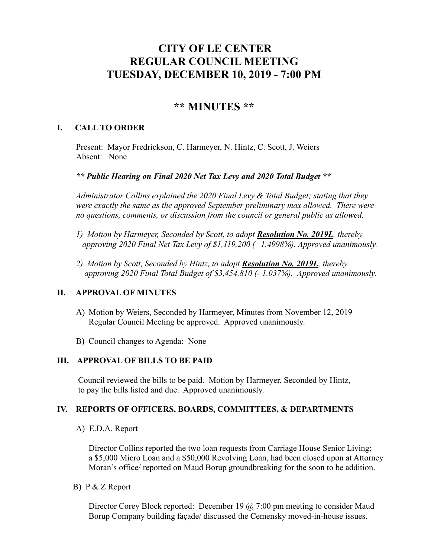# **CITY OF LE CENTER REGULAR COUNCIL MEETING TUESDAY, DECEMBER 10, 2019 - 7:00 PM**

# **\*\* MINUTES \*\***

## **I. CALL TO ORDER**

Present: Mayor Fredrickson, C. Harmeyer, N. Hintz, C. Scott, J. Weiers Absent: None

*\*\* Public Hearing on Final 2020 Net Tax Levy and 2020 Total Budget \*\**

*Administrator Collins explained the 2020 Final Levy & Total Budget; stating that they were exactly the same as the approved September preliminary max allowed. There were no questions, comments, or discussion from the council or general public as allowed.*

- *1) Motion by Harmeyer, Seconded by Scott, to adopt Resolution No. 2019L, thereby approving 2020 Final Net Tax Levy of \$1,119,200 (+1.4998%). Approved unanimously.*
- *2) Motion by Scott, Seconded by Hintz, to adopt Resolution No. 2019L, thereby approving 2020 Final Total Budget of \$3,454,810 (- 1.037%). Approved unanimously.*

#### **II. APPROVAL OF MINUTES**

- A) Motion by Weiers, Seconded by Harmeyer, Minutes from November 12, 2019 Regular Council Meeting be approved. Approved unanimously.
- B) Council changes to Agenda: None

#### **III. APPROVAL OF BILLS TO BE PAID**

Council reviewed the bills to be paid. Motion by Harmeyer, Seconded by Hintz, to pay the bills listed and due. Approved unanimously.

#### **IV. REPORTS OF OFFICERS, BOARDS, COMMITTEES, & DEPARTMENTS**

A) E.D.A. Report

 Director Collins reported the two loan requests from Carriage House Senior Living; a \$5,000 Micro Loan and a \$50,000 Revolving Loan, had been closed upon at Attorney Moran's office/ reported on Maud Borup groundbreaking for the soon to be addition.

B) P & Z Report

Director Corey Block reported: December 19  $\omega$  7:00 pm meeting to consider Maud Borup Company building façade/ discussed the Cemensky moved-in-house issues.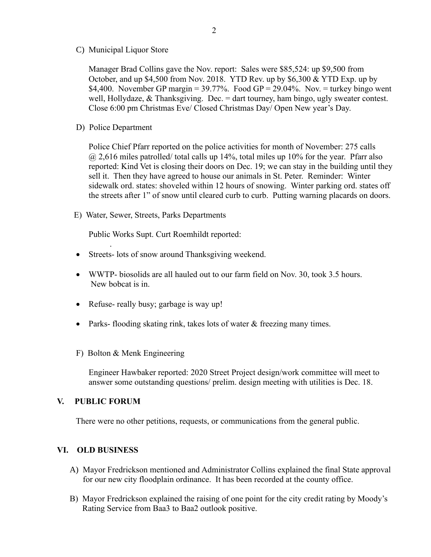C) Municipal Liquor Store

Manager Brad Collins gave the Nov. report: Sales were \$85,524: up \$9,500 from October, and up \$4,500 from Nov. 2018. YTD Rev. up by \$6,300 & YTD Exp. up by \$4,400. November GP margin =  $39.77\%$ . Food GP =  $29.04\%$ . Nov. = turkey bingo went well, Hollydaze,  $&$  Thanksgiving. Dec. = dart tourney, ham bingo, ugly sweater contest. Close 6:00 pm Christmas Eve/ Closed Christmas Day/ Open New year's Day.

D) Police Department

Police Chief Pfarr reported on the police activities for month of November: 275 calls  $\omega$  2,616 miles patrolled/ total calls up 14%, total miles up 10% for the year. Pfarr also reported: Kind Vet is closing their doors on Dec. 19; we can stay in the building until they sell it. Then they have agreed to house our animals in St. Peter. Reminder: Winter sidewalk ord. states: shoveled within 12 hours of snowing. Winter parking ord. states off the streets after 1" of snow until cleared curb to curb. Putting warning placards on doors.

E) Water, Sewer, Streets, Parks Departments

Public Works Supt. Curt Roemhildt reported:

- Streets- lots of snow around Thanksgiving weekend.
- WWTP- biosolids are all hauled out to our farm field on Nov. 30, took 3.5 hours. New bobcat is in.
- Refuse- really busy; garbage is way up!
- Parks- flooding skating rink, takes lots of water & freezing many times.
- F) Bolton & Menk Engineering

 Engineer Hawbaker reported: 2020 Street Project design/work committee will meet to answer some outstanding questions/ prelim. design meeting with utilities is Dec. 18.

## **V. PUBLIC FORUM**

.

There were no other petitions, requests, or communications from the general public.

## **VI. OLD BUSINESS**

- A) Mayor Fredrickson mentioned and Administrator Collins explained the final State approval for our new city floodplain ordinance. It has been recorded at the county office.
- B) Mayor Fredrickson explained the raising of one point for the city credit rating by Moody's Rating Service from Baa3 to Baa2 outlook positive.